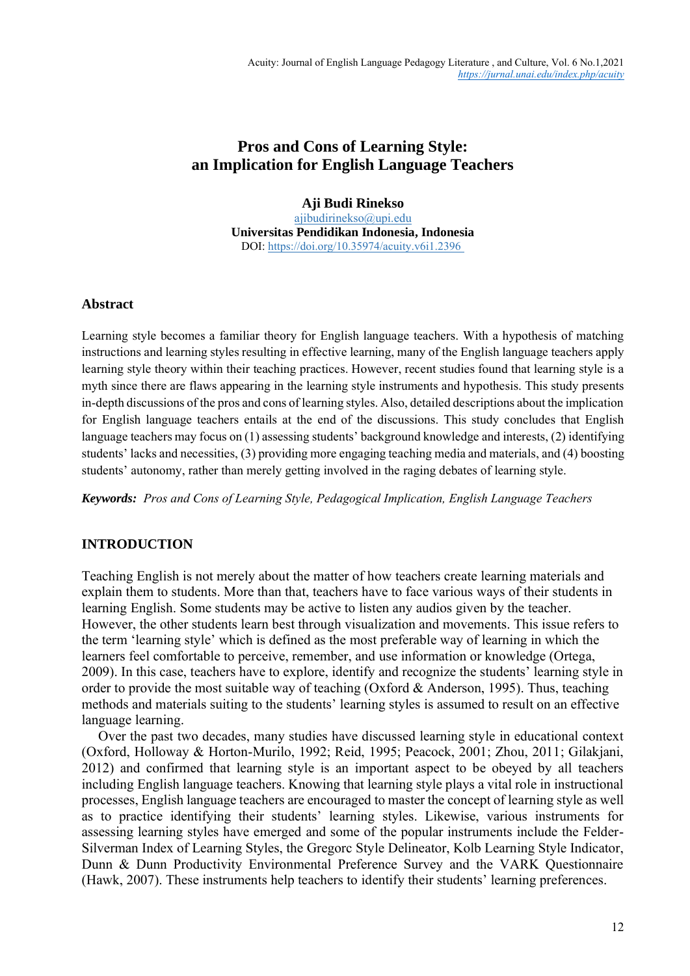# **Pros and Cons of Learning Style: an Implication for English Language Teachers**

**Aji Budi Rinekso** [ajibudirinekso@upi.edu](mailto:ajibudirinekso@upi.edu) **Universitas Pendidikan Indonesia, Indonesia** DOI:<https://doi.org/10.35974/acuity.v6i1.2396>

# **Abstract**

Learning style becomes a familiar theory for English language teachers. With a hypothesis of matching instructions and learning styles resulting in effective learning, many of the English language teachers apply learning style theory within their teaching practices. However, recent studies found that learning style is a myth since there are flaws appearing in the learning style instruments and hypothesis. This study presents in-depth discussions of the pros and cons of learning styles. Also, detailed descriptions about the implication for English language teachers entails at the end of the discussions. This study concludes that English language teachers may focus on (1) assessing students' background knowledge and interests, (2) identifying students' lacks and necessities, (3) providing more engaging teaching media and materials, and (4) boosting students' autonomy, rather than merely getting involved in the raging debates of learning style.

*Keywords: Pros and Cons of Learning Style, Pedagogical Implication, English Language Teachers*

# **INTRODUCTION**

Teaching English is not merely about the matter of how teachers create learning materials and explain them to students. More than that, teachers have to face various ways of their students in learning English. Some students may be active to listen any audios given by the teacher. However, the other students learn best through visualization and movements. This issue refers to the term 'learning style' which is defined as the most preferable way of learning in which the learners feel comfortable to perceive, remember, and use information or knowledge (Ortega, 2009). In this case, teachers have to explore, identify and recognize the students' learning style in order to provide the most suitable way of teaching (Oxford & Anderson, 1995). Thus, teaching methods and materials suiting to the students' learning styles is assumed to result on an effective language learning.

Over the past two decades, many studies have discussed learning style in educational context (Oxford, Holloway & Horton-Murilo, 1992; Reid, 1995; Peacock, 2001; Zhou, 2011; Gilakjani, 2012) and confirmed that learning style is an important aspect to be obeyed by all teachers including English language teachers. Knowing that learning style plays a vital role in instructional processes, English language teachers are encouraged to master the concept of learning style as well as to practice identifying their students' learning styles. Likewise, various instruments for assessing learning styles have emerged and some of the popular instruments include the Felder-Silverman Index of Learning Styles, the Gregorc Style Delineator, Kolb Learning Style Indicator, Dunn & Dunn Productivity Environmental Preference Survey and the VARK Questionnaire (Hawk, 2007). These instruments help teachers to identify their students' learning preferences.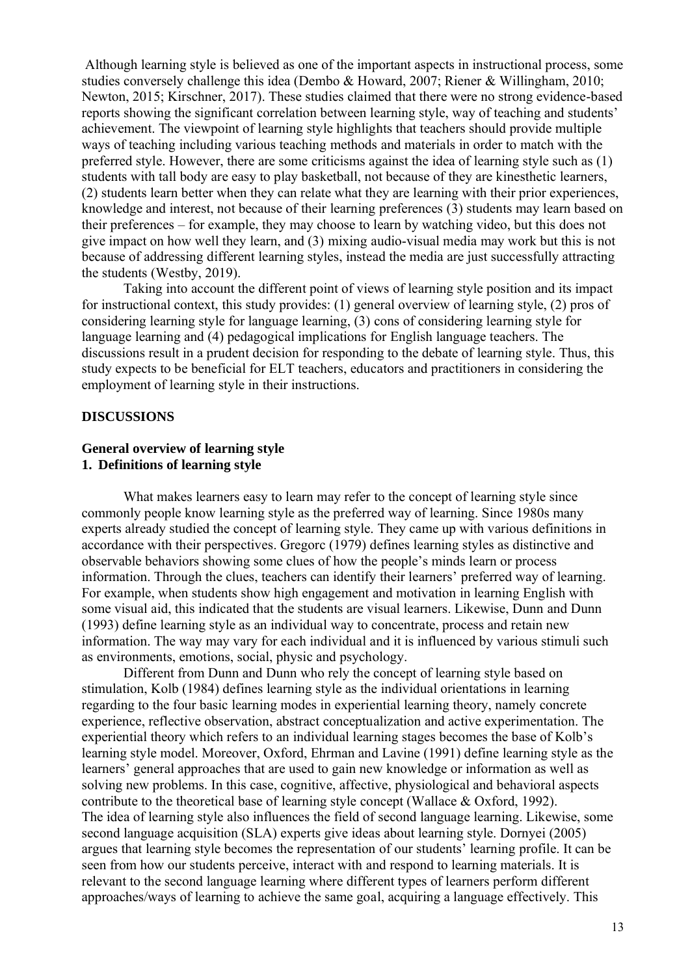Although learning style is believed as one of the important aspects in instructional process, some studies conversely challenge this idea (Dembo & Howard, 2007; Riener & Willingham, 2010; Newton, 2015; Kirschner, 2017). These studies claimed that there were no strong evidence-based reports showing the significant correlation between learning style, way of teaching and students' achievement. The viewpoint of learning style highlights that teachers should provide multiple ways of teaching including various teaching methods and materials in order to match with the preferred style. However, there are some criticisms against the idea of learning style such as (1) students with tall body are easy to play basketball, not because of they are kinesthetic learners, (2) students learn better when they can relate what they are learning with their prior experiences, knowledge and interest, not because of their learning preferences (3) students may learn based on their preferences – for example, they may choose to learn by watching video, but this does not give impact on how well they learn, and (3) mixing audio-visual media may work but this is not because of addressing different learning styles, instead the media are just successfully attracting the students (Westby, 2019).

Taking into account the different point of views of learning style position and its impact for instructional context, this study provides: (1) general overview of learning style, (2) pros of considering learning style for language learning, (3) cons of considering learning style for language learning and (4) pedagogical implications for English language teachers. The discussions result in a prudent decision for responding to the debate of learning style. Thus, this study expects to be beneficial for ELT teachers, educators and practitioners in considering the employment of learning style in their instructions.

## **DISCUSSIONS**

#### **General overview of learning style 1. Definitions of learning style**

What makes learners easy to learn may refer to the concept of learning style since commonly people know learning style as the preferred way of learning. Since 1980s many experts already studied the concept of learning style. They came up with various definitions in accordance with their perspectives. Gregorc (1979) defines learning styles as distinctive and observable behaviors showing some clues of how the people's minds learn or process information. Through the clues, teachers can identify their learners' preferred way of learning. For example, when students show high engagement and motivation in learning English with some visual aid, this indicated that the students are visual learners. Likewise, Dunn and Dunn (1993) define learning style as an individual way to concentrate, process and retain new information. The way may vary for each individual and it is influenced by various stimuli such as environments, emotions, social, physic and psychology.

Different from Dunn and Dunn who rely the concept of learning style based on stimulation, Kolb (1984) defines learning style as the individual orientations in learning regarding to the four basic learning modes in experiential learning theory, namely concrete experience, reflective observation, abstract conceptualization and active experimentation. The experiential theory which refers to an individual learning stages becomes the base of Kolb's learning style model. Moreover, Oxford, Ehrman and Lavine (1991) define learning style as the learners' general approaches that are used to gain new knowledge or information as well as solving new problems. In this case, cognitive, affective, physiological and behavioral aspects contribute to the theoretical base of learning style concept (Wallace & Oxford, 1992). The idea of learning style also influences the field of second language learning. Likewise, some second language acquisition (SLA) experts give ideas about learning style. Dornyei (2005) argues that learning style becomes the representation of our students' learning profile. It can be seen from how our students perceive, interact with and respond to learning materials. It is relevant to the second language learning where different types of learners perform different approaches/ways of learning to achieve the same goal, acquiring a language effectively. This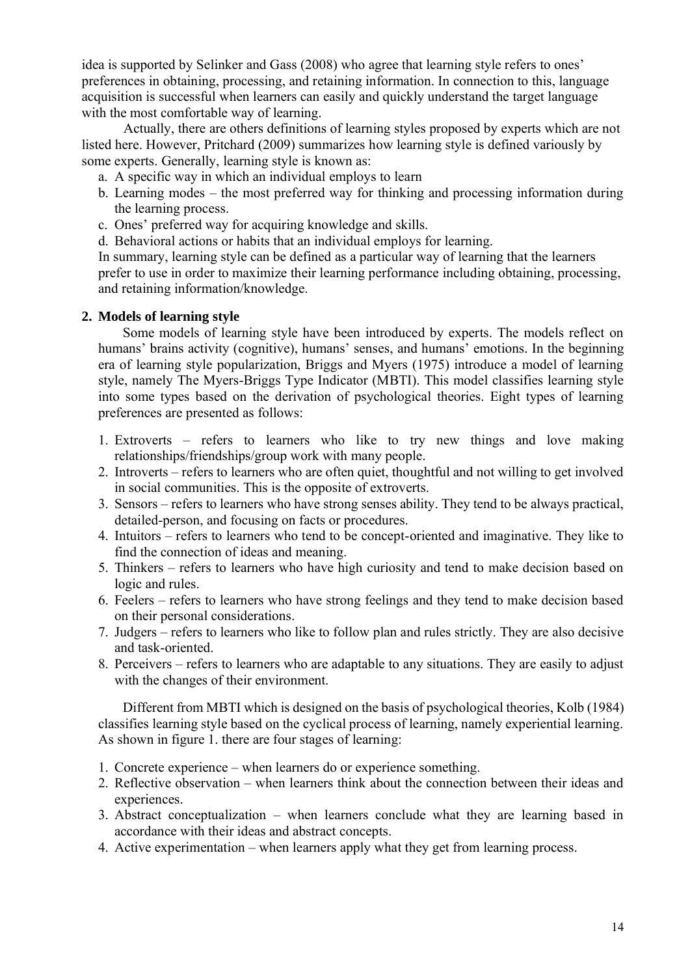idea is supported by Selinker and Gass (2008) who agree that learning style refers to ones' preferences in obtaining, processing, and retaining information. In connection to this, language acquisition is successful when learners can easily and quickly understand the target language with the most comfortable way of learning.

Actually, there are others definitions of learning styles proposed by experts which are not listed here. However, Pritchard (2009) summarizes how learning style is defined variously by some experts. Generally, learning style is known as:

- a. A specific way in which an individual employs to learn
- b. Learning modes the most preferred way for thinking and processing information during the learning process.
- c. Ones' preferred way for acquiring knowledge and skills.
- d. Behavioral actions or habits that an individual employs for learning.

In summary, learning style can be defined as a particular way of learning that the learners prefer to use in order to maximize their learning performance including obtaining, processing, and retaining information/knowledge.

# **2. Models of learning style**

Some models of learning style have been introduced by experts. The models reflect on humans' brains activity (cognitive), humans' senses, and humans' emotions. In the beginning era of learning style popularization, Briggs and Myers (1975) introduce a model of learning style, namely The Myers-Briggs Type Indicator (MBTI). This model classifies learning style into some types based on the derivation of psychological theories. Eight types of learning preferences are presented as follows:

- 1. Extroverts refers to learners who like to try new things and love making relationships/friendships/group work with many people.
- 2. Introverts refers to learners who are often quiet, thoughtful and not willing to get involved in social communities. This is the opposite of extroverts.
- 3. Sensors refers to learners who have strong senses ability. They tend to be always practical, detailed-person, and focusing on facts or procedures.
- 4. Intuitors refers to learners who tend to be concept-oriented and imaginative. They like to find the connection of ideas and meaning.
- 5. Thinkers refers to learners who have high curiosity and tend to make decision based on logic and rules.
- 6. Feelers refers to learners who have strong feelings and they tend to make decision based on their personal considerations.
- 7. Judgers refers to learners who like to follow plan and rules strictly. They are also decisive and task-oriented.
- 8. Perceivers refers to learners who are adaptable to any situations. They are easily to adjust with the changes of their environment.

Different from MBTI which is designed on the basis of psychological theories, Kolb (1984) classifies learning style based on the cyclical process of learning, namely experiential learning. As shown in figure 1. there are four stages of learning:

- 1. Concrete experience when learners do or experience something.
- 2. Reflective observation when learners think about the connection between their ideas and experiences.
- 3. Abstract conceptualization when learners conclude what they are learning based in accordance with their ideas and abstract concepts.
- 4. Active experimentation when learners apply what they get from learning process.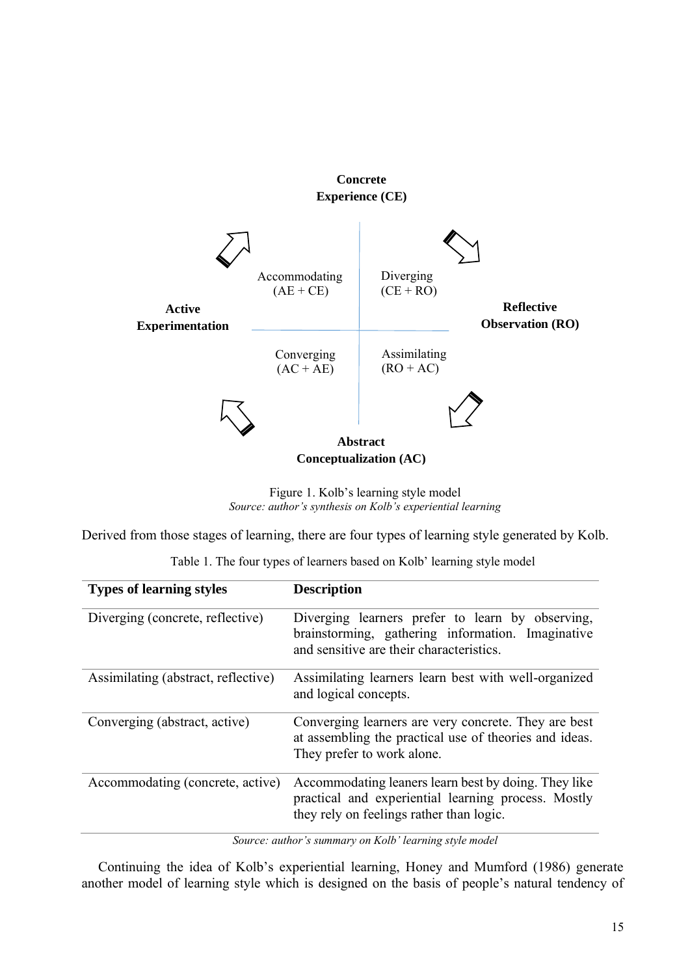

**Conceptualization (AC)**

Figure 1. Kolb's learning style model *Source: author's synthesis on Kolb's experiential learning*

Derived from those stages of learning, there are four types of learning style generated by Kolb.

Table 1. The four types of learners based on Kolb' learning style model

| <b>Types of learning styles</b>     | <b>Description</b>                                                                                                                                      |
|-------------------------------------|---------------------------------------------------------------------------------------------------------------------------------------------------------|
| Diverging (concrete, reflective)    | Diverging learners prefer to learn by observing,<br>brainstorming, gathering information. Imaginative<br>and sensitive are their characteristics.       |
| Assimilating (abstract, reflective) | Assimilating learners learn best with well-organized<br>and logical concepts.                                                                           |
| Converging (abstract, active)       | Converging learners are very concrete. They are best<br>at assembling the practical use of theories and ideas.<br>They prefer to work alone.            |
| Accommodating (concrete, active)    | Accommodating leaners learn best by doing. They like<br>practical and experiential learning process. Mostly<br>they rely on feelings rather than logic. |

*Source: author's summary on Kolb' learning style model*

Continuing the idea of Kolb's experiential learning, Honey and Mumford (1986) generate another model of learning style which is designed on the basis of people's natural tendency of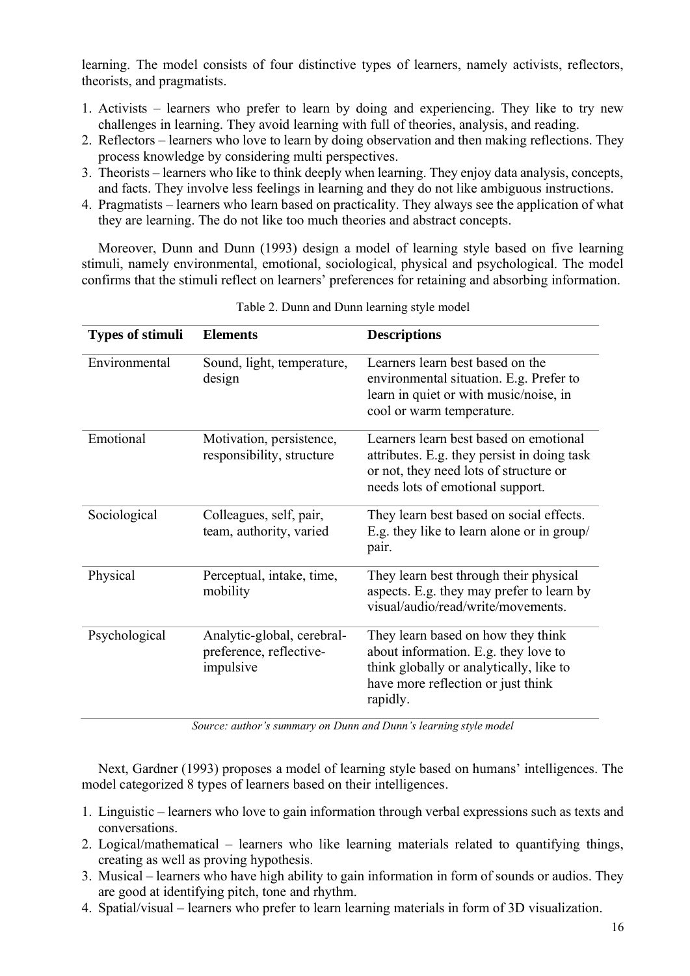learning. The model consists of four distinctive types of learners, namely activists, reflectors, theorists, and pragmatists.

- 1. Activists learners who prefer to learn by doing and experiencing. They like to try new challenges in learning. They avoid learning with full of theories, analysis, and reading.
- 2. Reflectors learners who love to learn by doing observation and then making reflections. They process knowledge by considering multi perspectives.
- 3. Theorists learners who like to think deeply when learning. They enjoy data analysis, concepts, and facts. They involve less feelings in learning and they do not like ambiguous instructions.
- 4. Pragmatists learners who learn based on practicality. They always see the application of what they are learning. The do not like too much theories and abstract concepts.

Moreover, Dunn and Dunn (1993) design a model of learning style based on five learning stimuli, namely environmental, emotional, sociological, physical and psychological. The model confirms that the stimuli reflect on learners' preferences for retaining and absorbing information.

| <b>Types of stimuli</b> | <b>Elements</b>                                                    | <b>Descriptions</b>                                                                                                                                                     |
|-------------------------|--------------------------------------------------------------------|-------------------------------------------------------------------------------------------------------------------------------------------------------------------------|
| Environmental           | Sound, light, temperature,<br>design                               | Learners learn best based on the<br>environmental situation. E.g. Prefer to<br>learn in quiet or with music/noise, in<br>cool or warm temperature.                      |
| Emotional               | Motivation, persistence,<br>responsibility, structure              | Learners learn best based on emotional<br>attributes. E.g. they persist in doing task<br>or not, they need lots of structure or<br>needs lots of emotional support.     |
| Sociological            | Colleagues, self, pair,<br>team, authority, varied                 | They learn best based on social effects.<br>E.g. they like to learn alone or in group/<br>pair.                                                                         |
| Physical                | Perceptual, intake, time,<br>mobility                              | They learn best through their physical<br>aspects. E.g. they may prefer to learn by<br>visual/audio/read/write/movements.                                               |
| Psychological           | Analytic-global, cerebral-<br>preference, reflective-<br>impulsive | They learn based on how they think<br>about information. E.g. they love to<br>think globally or analytically, like to<br>have more reflection or just think<br>rapidly. |

Table 2. Dunn and Dunn learning style model

*Source: author's summary on Dunn and Dunn's learning style model*

Next, Gardner (1993) proposes a model of learning style based on humans' intelligences. The model categorized 8 types of learners based on their intelligences.

- 1. Linguistic learners who love to gain information through verbal expressions such as texts and conversations.
- 2. Logical/mathematical learners who like learning materials related to quantifying things, creating as well as proving hypothesis.
- 3. Musical learners who have high ability to gain information in form of sounds or audios. They are good at identifying pitch, tone and rhythm.
- 4. Spatial/visual learners who prefer to learn learning materials in form of 3D visualization.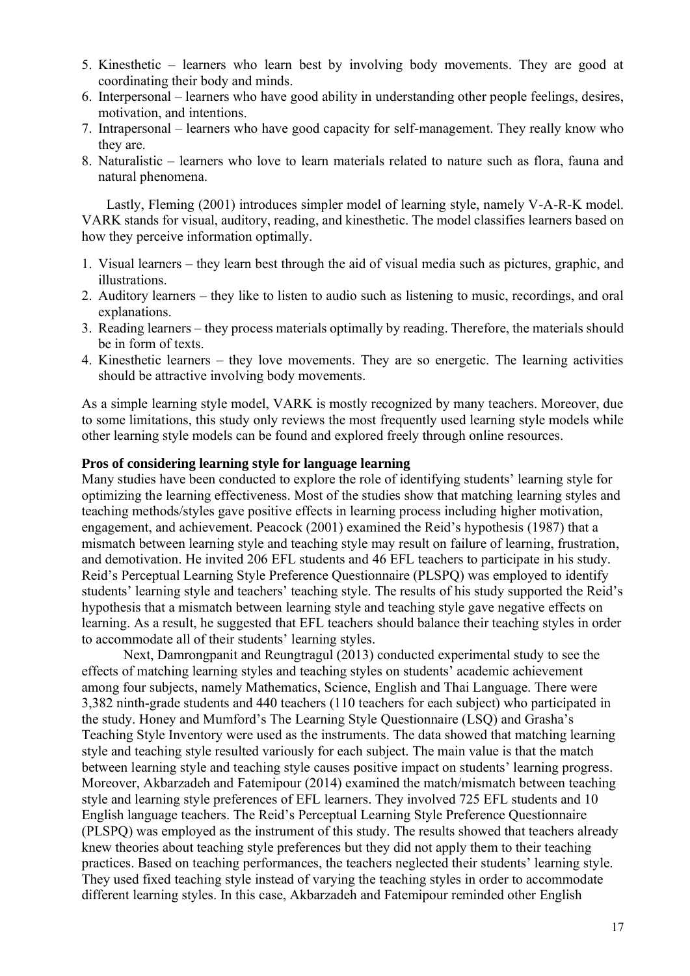- 5. Kinesthetic learners who learn best by involving body movements. They are good at coordinating their body and minds.
- 6. Interpersonal learners who have good ability in understanding other people feelings, desires, motivation, and intentions.
- 7. Intrapersonal learners who have good capacity for self-management. They really know who they are.
- 8. Naturalistic learners who love to learn materials related to nature such as flora, fauna and natural phenomena.

Lastly, Fleming (2001) introduces simpler model of learning style, namely V-A-R-K model. VARK stands for visual, auditory, reading, and kinesthetic. The model classifies learners based on how they perceive information optimally.

- 1. Visual learners they learn best through the aid of visual media such as pictures, graphic, and illustrations.
- 2. Auditory learners they like to listen to audio such as listening to music, recordings, and oral explanations.
- 3. Reading learners they process materials optimally by reading. Therefore, the materials should be in form of texts.
- 4. Kinesthetic learners they love movements. They are so energetic. The learning activities should be attractive involving body movements.

As a simple learning style model, VARK is mostly recognized by many teachers. Moreover, due to some limitations, this study only reviews the most frequently used learning style models while other learning style models can be found and explored freely through online resources.

## **Pros of considering learning style for language learning**

Many studies have been conducted to explore the role of identifying students' learning style for optimizing the learning effectiveness. Most of the studies show that matching learning styles and teaching methods/styles gave positive effects in learning process including higher motivation, engagement, and achievement. Peacock (2001) examined the Reid's hypothesis (1987) that a mismatch between learning style and teaching style may result on failure of learning, frustration, and demotivation. He invited 206 EFL students and 46 EFL teachers to participate in his study. Reid's Perceptual Learning Style Preference Questionnaire (PLSPQ) was employed to identify students' learning style and teachers' teaching style. The results of his study supported the Reid's hypothesis that a mismatch between learning style and teaching style gave negative effects on learning. As a result, he suggested that EFL teachers should balance their teaching styles in order to accommodate all of their students' learning styles.

Next, Damrongpanit and Reungtragul (2013) conducted experimental study to see the effects of matching learning styles and teaching styles on students' academic achievement among four subjects, namely Mathematics, Science, English and Thai Language. There were 3,382 ninth-grade students and 440 teachers (110 teachers for each subject) who participated in the study. Honey and Mumford's The Learning Style Questionnaire (LSQ) and Grasha's Teaching Style Inventory were used as the instruments. The data showed that matching learning style and teaching style resulted variously for each subject. The main value is that the match between learning style and teaching style causes positive impact on students' learning progress. Moreover, Akbarzadeh and Fatemipour (2014) examined the match/mismatch between teaching style and learning style preferences of EFL learners. They involved 725 EFL students and 10 English language teachers. The Reid's Perceptual Learning Style Preference Questionnaire (PLSPQ) was employed as the instrument of this study. The results showed that teachers already knew theories about teaching style preferences but they did not apply them to their teaching practices. Based on teaching performances, the teachers neglected their students' learning style. They used fixed teaching style instead of varying the teaching styles in order to accommodate different learning styles. In this case, Akbarzadeh and Fatemipour reminded other English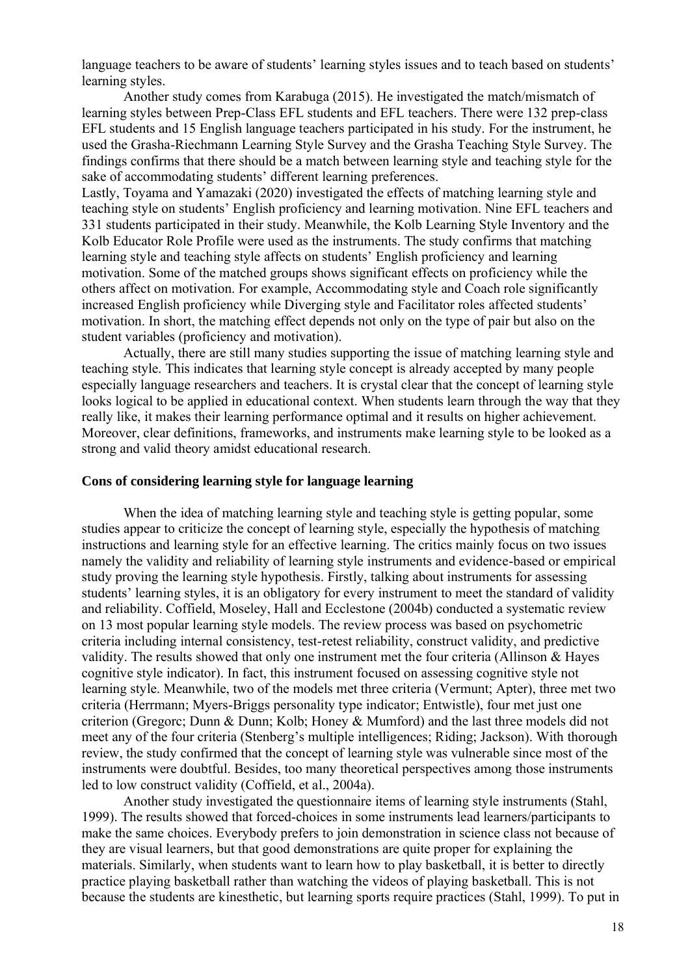language teachers to be aware of students' learning styles issues and to teach based on students' learning styles.

Another study comes from Karabuga (2015). He investigated the match/mismatch of learning styles between Prep-Class EFL students and EFL teachers. There were 132 prep-class EFL students and 15 English language teachers participated in his study. For the instrument, he used the Grasha-Riechmann Learning Style Survey and the Grasha Teaching Style Survey. The findings confirms that there should be a match between learning style and teaching style for the sake of accommodating students' different learning preferences.

Lastly, Toyama and Yamazaki (2020) investigated the effects of matching learning style and teaching style on students' English proficiency and learning motivation. Nine EFL teachers and 331 students participated in their study. Meanwhile, the Kolb Learning Style Inventory and the Kolb Educator Role Profile were used as the instruments. The study confirms that matching learning style and teaching style affects on students' English proficiency and learning motivation. Some of the matched groups shows significant effects on proficiency while the others affect on motivation. For example, Accommodating style and Coach role significantly increased English proficiency while Diverging style and Facilitator roles affected students' motivation. In short, the matching effect depends not only on the type of pair but also on the student variables (proficiency and motivation).

Actually, there are still many studies supporting the issue of matching learning style and teaching style. This indicates that learning style concept is already accepted by many people especially language researchers and teachers. It is crystal clear that the concept of learning style looks logical to be applied in educational context. When students learn through the way that they really like, it makes their learning performance optimal and it results on higher achievement. Moreover, clear definitions, frameworks, and instruments make learning style to be looked as a strong and valid theory amidst educational research.

#### **Cons of considering learning style for language learning**

When the idea of matching learning style and teaching style is getting popular, some studies appear to criticize the concept of learning style, especially the hypothesis of matching instructions and learning style for an effective learning. The critics mainly focus on two issues namely the validity and reliability of learning style instruments and evidence-based or empirical study proving the learning style hypothesis. Firstly, talking about instruments for assessing students' learning styles, it is an obligatory for every instrument to meet the standard of validity and reliability. Coffield, Moseley, Hall and Ecclestone (2004b) conducted a systematic review on 13 most popular learning style models. The review process was based on psychometric criteria including internal consistency, test-retest reliability, construct validity, and predictive validity. The results showed that only one instrument met the four criteria (Allinson & Hayes cognitive style indicator). In fact, this instrument focused on assessing cognitive style not learning style. Meanwhile, two of the models met three criteria (Vermunt; Apter), three met two criteria (Herrmann; Myers-Briggs personality type indicator; Entwistle), four met just one criterion (Gregorc; Dunn & Dunn; Kolb; Honey & Mumford) and the last three models did not meet any of the four criteria (Stenberg's multiple intelligences; Riding; Jackson). With thorough review, the study confirmed that the concept of learning style was vulnerable since most of the instruments were doubtful. Besides, too many theoretical perspectives among those instruments led to low construct validity (Coffield, et al., 2004a).

Another study investigated the questionnaire items of learning style instruments (Stahl, 1999). The results showed that forced-choices in some instruments lead learners/participants to make the same choices. Everybody prefers to join demonstration in science class not because of they are visual learners, but that good demonstrations are quite proper for explaining the materials. Similarly, when students want to learn how to play basketball, it is better to directly practice playing basketball rather than watching the videos of playing basketball. This is not because the students are kinesthetic, but learning sports require practices (Stahl, 1999). To put in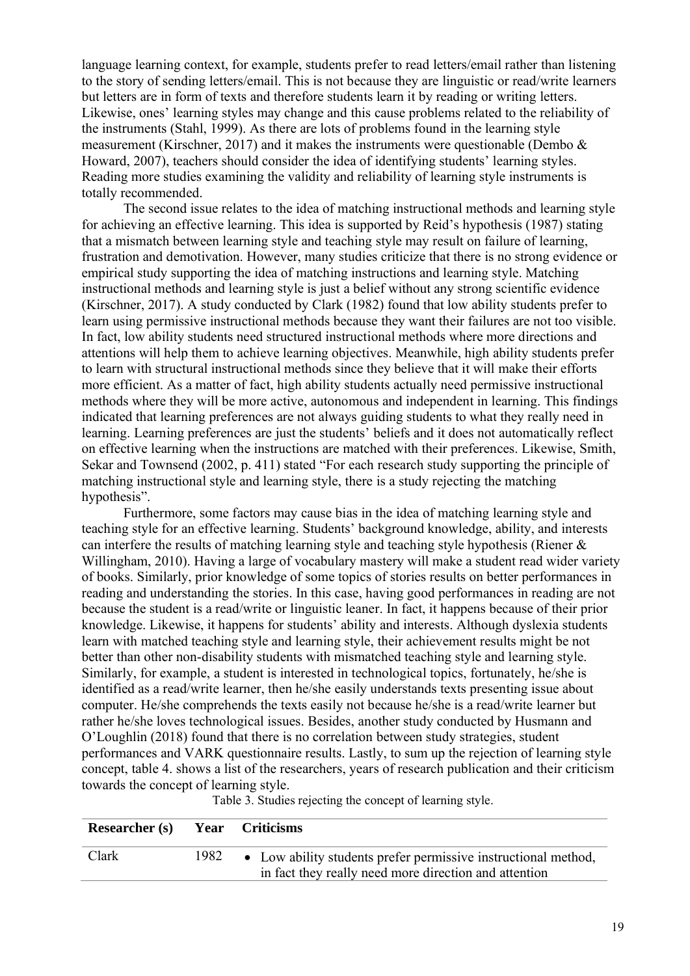language learning context, for example, students prefer to read letters/email rather than listening to the story of sending letters/email. This is not because they are linguistic or read/write learners but letters are in form of texts and therefore students learn it by reading or writing letters. Likewise, ones' learning styles may change and this cause problems related to the reliability of the instruments (Stahl, 1999). As there are lots of problems found in the learning style measurement (Kirschner, 2017) and it makes the instruments were questionable (Dembo  $\&$ Howard, 2007), teachers should consider the idea of identifying students' learning styles. Reading more studies examining the validity and reliability of learning style instruments is totally recommended.

The second issue relates to the idea of matching instructional methods and learning style for achieving an effective learning. This idea is supported by Reid's hypothesis (1987) stating that a mismatch between learning style and teaching style may result on failure of learning, frustration and demotivation. However, many studies criticize that there is no strong evidence or empirical study supporting the idea of matching instructions and learning style. Matching instructional methods and learning style is just a belief without any strong scientific evidence (Kirschner, 2017). A study conducted by Clark (1982) found that low ability students prefer to learn using permissive instructional methods because they want their failures are not too visible. In fact, low ability students need structured instructional methods where more directions and attentions will help them to achieve learning objectives. Meanwhile, high ability students prefer to learn with structural instructional methods since they believe that it will make their efforts more efficient. As a matter of fact, high ability students actually need permissive instructional methods where they will be more active, autonomous and independent in learning. This findings indicated that learning preferences are not always guiding students to what they really need in learning. Learning preferences are just the students' beliefs and it does not automatically reflect on effective learning when the instructions are matched with their preferences. Likewise, Smith, Sekar and Townsend (2002, p. 411) stated "For each research study supporting the principle of matching instructional style and learning style, there is a study rejecting the matching hypothesis".

Furthermore, some factors may cause bias in the idea of matching learning style and teaching style for an effective learning. Students' background knowledge, ability, and interests can interfere the results of matching learning style and teaching style hypothesis (Riener & Willingham, 2010). Having a large of vocabulary mastery will make a student read wider variety of books. Similarly, prior knowledge of some topics of stories results on better performances in reading and understanding the stories. In this case, having good performances in reading are not because the student is a read/write or linguistic leaner. In fact, it happens because of their prior knowledge. Likewise, it happens for students' ability and interests. Although dyslexia students learn with matched teaching style and learning style, their achievement results might be not better than other non-disability students with mismatched teaching style and learning style. Similarly, for example, a student is interested in technological topics, fortunately, he/she is identified as a read/write learner, then he/she easily understands texts presenting issue about computer. He/she comprehends the texts easily not because he/she is a read/write learner but rather he/she loves technological issues. Besides, another study conducted by Husmann and O'Loughlin (2018) found that there is no correlation between study strategies, student performances and VARK questionnaire results. Lastly, to sum up the rejection of learning style concept, table 4. shows a list of the researchers, years of research publication and their criticism towards the concept of learning style.

| Researcher (s) Year Criticisms |      |                                                                                                                         |
|--------------------------------|------|-------------------------------------------------------------------------------------------------------------------------|
| Clark                          | 1982 | • Low ability students prefer permissive instructional method,<br>in fact they really need more direction and attention |

Table 3. Studies rejecting the concept of learning style.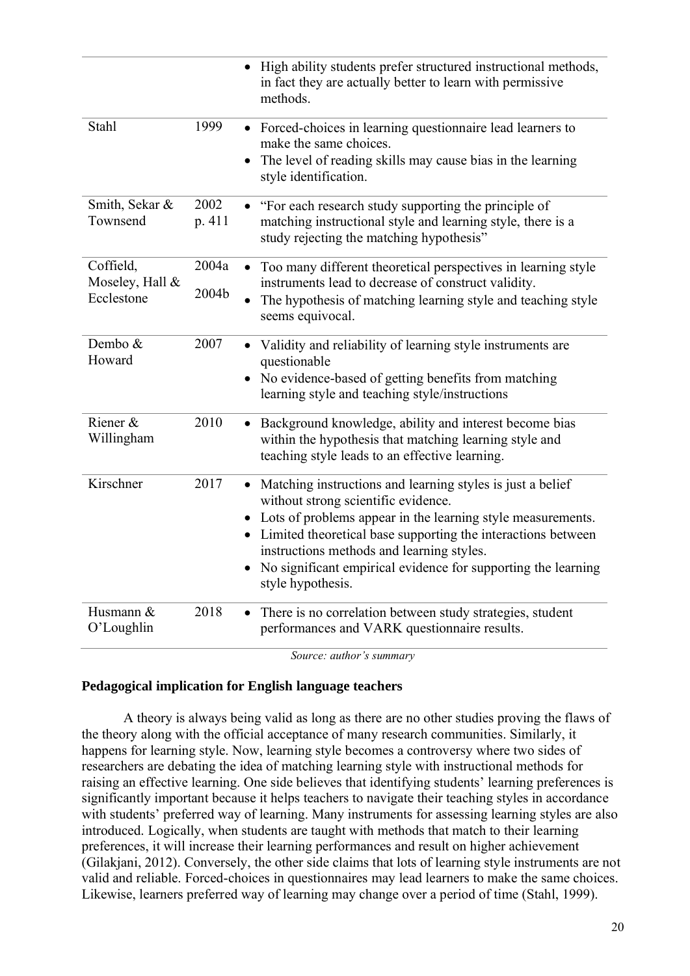|                                            |                | High ability students prefer structured instructional methods,<br>in fact they are actually better to learn with permissive<br>methods.                                                                                                                                                                                                                                              |
|--------------------------------------------|----------------|--------------------------------------------------------------------------------------------------------------------------------------------------------------------------------------------------------------------------------------------------------------------------------------------------------------------------------------------------------------------------------------|
| Stahl                                      | 1999           | • Forced-choices in learning questionnaire lead learners to<br>make the same choices.<br>The level of reading skills may cause bias in the learning<br>style identification.                                                                                                                                                                                                         |
| Smith, Sekar &<br>Townsend                 | 2002<br>p. 411 | "For each research study supporting the principle of<br>matching instructional style and learning style, there is a<br>study rejecting the matching hypothesis"                                                                                                                                                                                                                      |
| Coffield,<br>Moseley, Hall &<br>Ecclestone | 2004a<br>2004b | Too many different theoretical perspectives in learning style<br>instruments lead to decrease of construct validity.<br>The hypothesis of matching learning style and teaching style<br>seems equivocal.                                                                                                                                                                             |
| Dembo &<br>Howard                          | 2007           | Validity and reliability of learning style instruments are<br>$\bullet$<br>questionable<br>• No evidence-based of getting benefits from matching<br>learning style and teaching style/instructions                                                                                                                                                                                   |
| Riener &<br>Willingham                     | 2010           | Background knowledge, ability and interest become bias<br>within the hypothesis that matching learning style and<br>teaching style leads to an effective learning.                                                                                                                                                                                                                   |
| Kirschner                                  | 2017           | • Matching instructions and learning styles is just a belief<br>without strong scientific evidence.<br>Lots of problems appear in the learning style measurements.<br>$\bullet$<br>• Limited theoretical base supporting the interactions between<br>instructions methods and learning styles.<br>No significant empirical evidence for supporting the learning<br>style hypothesis. |
| Husmann &<br>O'Loughlin                    | 2018           | There is no correlation between study strategies, student<br>$\bullet$<br>performances and VARK questionnaire results.                                                                                                                                                                                                                                                               |

*Source: author's summary*

# **Pedagogical implication for English language teachers**

A theory is always being valid as long as there are no other studies proving the flaws of the theory along with the official acceptance of many research communities. Similarly, it happens for learning style. Now, learning style becomes a controversy where two sides of researchers are debating the idea of matching learning style with instructional methods for raising an effective learning. One side believes that identifying students' learning preferences is significantly important because it helps teachers to navigate their teaching styles in accordance with students' preferred way of learning. Many instruments for assessing learning styles are also introduced. Logically, when students are taught with methods that match to their learning preferences, it will increase their learning performances and result on higher achievement (Gilakjani, 2012). Conversely, the other side claims that lots of learning style instruments are not valid and reliable. Forced-choices in questionnaires may lead learners to make the same choices. Likewise, learners preferred way of learning may change over a period of time (Stahl, 1999).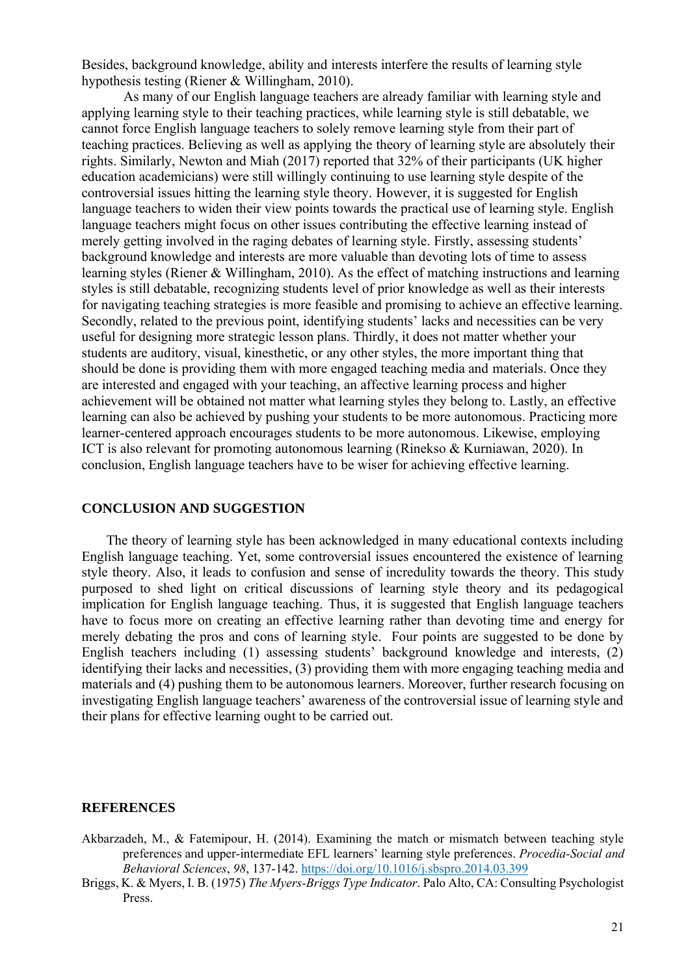Besides, background knowledge, ability and interests interfere the results of learning style hypothesis testing (Riener & Willingham, 2010).

As many of our English language teachers are already familiar with learning style and applying learning style to their teaching practices, while learning style is still debatable, we cannot force English language teachers to solely remove learning style from their part of teaching practices. Believing as well as applying the theory of learning style are absolutely their rights. Similarly, Newton and Miah (2017) reported that 32% of their participants (UK higher education academicians) were still willingly continuing to use learning style despite of the controversial issues hitting the learning style theory. However, it is suggested for English language teachers to widen their view points towards the practical use of learning style. English language teachers might focus on other issues contributing the effective learning instead of merely getting involved in the raging debates of learning style. Firstly, assessing students' background knowledge and interests are more valuable than devoting lots of time to assess learning styles (Riener & Willingham, 2010). As the effect of matching instructions and learning styles is still debatable, recognizing students level of prior knowledge as well as their interests for navigating teaching strategies is more feasible and promising to achieve an effective learning. Secondly, related to the previous point, identifying students' lacks and necessities can be very useful for designing more strategic lesson plans. Thirdly, it does not matter whether your students are auditory, visual, kinesthetic, or any other styles, the more important thing that should be done is providing them with more engaged teaching media and materials. Once they are interested and engaged with your teaching, an affective learning process and higher achievement will be obtained not matter what learning styles they belong to. Lastly, an effective learning can also be achieved by pushing your students to be more autonomous. Practicing more learner-centered approach encourages students to be more autonomous. Likewise, employing ICT is also relevant for promoting autonomous learning (Rinekso & Kurniawan, 2020). In conclusion, English language teachers have to be wiser for achieving effective learning.

#### **CONCLUSION AND SUGGESTION**

The theory of learning style has been acknowledged in many educational contexts including English language teaching. Yet, some controversial issues encountered the existence of learning style theory. Also, it leads to confusion and sense of incredulity towards the theory. This study purposed to shed light on critical discussions of learning style theory and its pedagogical implication for English language teaching. Thus, it is suggested that English language teachers have to focus more on creating an effective learning rather than devoting time and energy for merely debating the pros and cons of learning style. Four points are suggested to be done by English teachers including (1) assessing students' background knowledge and interests, (2) identifying their lacks and necessities, (3) providing them with more engaging teaching media and materials and (4) pushing them to be autonomous learners. Moreover, further research focusing on investigating English language teachers' awareness of the controversial issue of learning style and their plans for effective learning ought to be carried out.

## **REFERENCES**

- Akbarzadeh, M., & Fatemipour, H. (2014). Examining the match or mismatch between teaching style preferences and upper-intermediate EFL learners' learning style preferences. *Procedia-Social and Behavioral Sciences*, *98*, 137-142[. https://doi.org/10.1016/j.sbspro.2014.03.399](https://doi.org/10.1016/j.sbspro.2014.03.399)
- Briggs, K. & Myers, I. B. (1975) *The Myers-Briggs Type Indicator*. Palo Alto, CA: Consulting Psychologist Press.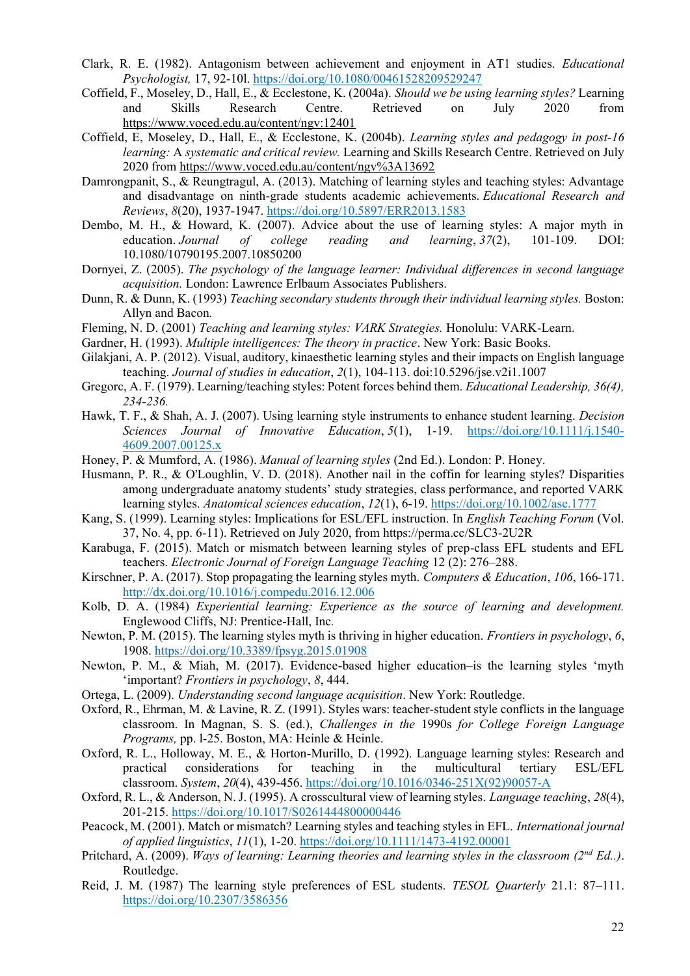- Clark, R. E. (1982). Antagonism between achievement and enjoyment in AT1 studies. *Educational Psychologist,* 17, 92-10l.<https://doi.org/10.1080/00461528209529247>
- Coffield, F., Moseley, D., Hall, E., & Ecclestone, K. (2004a). *Should we be using learning styles?* Learning and Skills Research Centre. Retrieved on July 2020 from <https://www.voced.edu.au/content/ngv:12401>
- Coffield, E, Moseley, D., Hall, E., & Ecclestone, K. (2004b). *Learning styles and pedagogy in post-16 learning:* A *systematic and critical review.* Learning and Skills Research Centre. Retrieved on July 2020 from<https://www.voced.edu.au/content/ngv%3A13692>
- Damrongpanit, S., & Reungtragul, A. (2013). Matching of learning styles and teaching styles: Advantage and disadvantage on ninth-grade students academic achievements. *Educational Research and Reviews*, *8*(20), 1937-1947.<https://doi.org/10.5897/ERR2013.1583>
- Dembo, M. H., & Howard, K. (2007). Advice about the use of learning styles: A major myth in education. *Journal of college reading and learning*, *37*(2), 101-109. DOI: 10.1080/10790195.2007.10850200
- Dornyei, Z. (2005). *The psychology of the language learner: Individual differences in second language acquisition.* London: Lawrence Erlbaum Associates Publishers.
- Dunn, R. & Dunn, K. (1993) *Teaching secondary students through their individual learning styles.* Boston: Allyn and Bacon*.*
- Fleming, N. D. (2001) *Teaching and learning styles: VARK Strategies.* Honolulu: VARK-Learn.
- Gardner, H. (1993). *Multiple intelligences: The theory in practice*. New York: Basic Books.
- Gilakjani, A. P. (2012). Visual, auditory, kinaesthetic learning styles and their impacts on English language teaching. *Journal of studies in education*, *2*(1), 104-113. doi:10.5296/jse.v2i1.1007
- Gregorc, A. F. (1979). Learning/teaching styles: Potent forces behind them. *Educational Leadership, 36(4), 234-236.*
- Hawk, T. F., & Shah, A. J. (2007). Using learning style instruments to enhance student learning. *Decision Sciences Journal of Innovative Education*, *5*(1), 1-19. [https://doi.org/10.1111/j.1540-](https://doi.org/10.1111/j.1540-4609.2007.00125.x) [4609.2007.00125.x](https://doi.org/10.1111/j.1540-4609.2007.00125.x)
- Honey, P. & Mumford, A. (1986). *Manual of learning styles* (2nd Ed.). London: P. Honey.
- Husmann, P. R., & O'Loughlin, V. D. (2018). Another nail in the coffin for learning styles? Disparities among undergraduate anatomy students' study strategies, class performance, and reported VARK learning styles. *Anatomical sciences education*, *12*(1), 6-19.<https://doi.org/10.1002/ase.1777>
- Kang, S. (1999). Learning styles: Implications for ESL/EFL instruction. In *English Teaching Forum* (Vol. 37, No. 4, pp. 6-11). Retrieved on July 2020, from https://perma.cc/SLC3-2U2R
- Karabuga, F. (2015). Match or mismatch between learning styles of prep-class EFL students and EFL teachers. *Electronic Journal of Foreign Language Teaching* 12 (2): 276–288.
- Kirschner, P. A. (2017). Stop propagating the learning styles myth. *Computers & Education*, *106*, 166-171. <http://dx.doi.org/10.1016/j.compedu.2016.12.006>
- Kolb, D. A. (1984) *Experiential learning: Experience as the source of learning and development.*  Englewood Cliffs, NJ: Prentice-Hall, Inc*.*
- Newton, P. M. (2015). The learning styles myth is thriving in higher education. *Frontiers in psychology*, *6*, 1908.<https://doi.org/10.3389/fpsyg.2015.01908>
- Newton, P. M., & Miah, M. (2017). Evidence-based higher education–is the learning styles 'myth 'important? *Frontiers in psychology*, *8*, 444.
- Ortega, L. (2009). *Understanding second language acquisition*. New York: Routledge.
- Oxford, R., Ehrman, M. & Lavine, R. Z. (1991). Styles wars: teacher-student style conflicts in the language classroom. In Magnan, S. S. (ed.), *Challenges in the* 1990s *for College Foreign Language Programs,* pp. l-25. Boston, MA: Heinle & Heinle.
- Oxford, R. L., Holloway, M. E., & Horton-Murillo, D. (1992). Language learning styles: Research and practical considerations for teaching in the multicultural tertiary ESL/EFL classroom. *System*, *20*(4), 439-456[. https://doi.org/10.1016/0346-251X\(92\)90057-A](https://doi.org/10.1016/0346-251X(92)90057-A)
- Oxford, R. L., & Anderson, N. J. (1995). A crosscultural view of learning styles. *Language teaching*, *28*(4), 201-215. <https://doi.org/10.1017/S0261444800000446>
- Peacock, M. (2001). Match or mismatch? Learning styles and teaching styles in EFL. *International journal of applied linguistics*, *11*(1), 1-20.<https://doi.org/10.1111/1473-4192.00001>
- Pritchard, A. (2009). *Ways of learning: Learning theories and learning styles in the classroom (2nd Ed..)*. Routledge.
- Reid, J. M. (1987) The learning style preferences of ESL students. *TESOL Quarterly* 21.1: 87–111. <https://doi.org/10.2307/3586356>